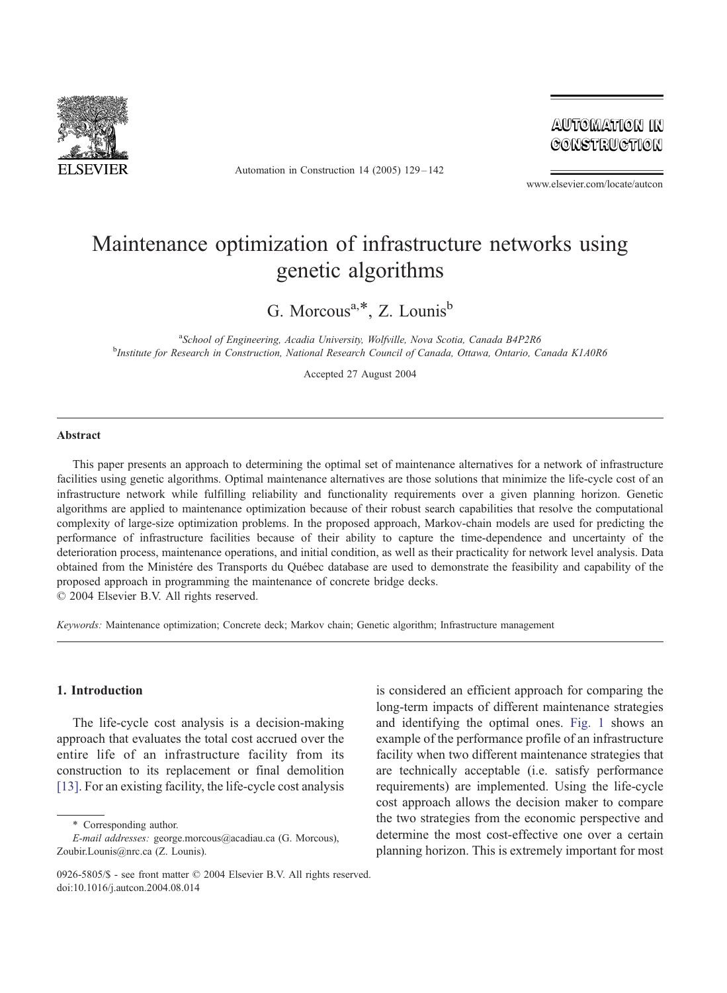

Automation in Construction 14 (2005) 129-142

**AUTOMATION IN** CONSTRUCTION

www.elsevier.com/locate/autcon

# Maintenance optimization of infrastructure networks using genetic algorithms

G. Morcous<sup>a, $*$ </sup>, Z. Lounis<sup>b</sup>

<sup>a</sup> School of Engineering, Acadia University, Wolfville, Nova Scotia, Canada B4P2R6<br><sup>b</sup>Institute for Besearch in Construction, National Besearch Council of Canada Ottawa Ortario, C <sup>b</sup>Institute for Research in Construction, National Research Council of Canada, Ottawa, Ontario, Canada K1A0R6

Accepted 27 August 2004

## **Abstract**

This paper presents an approach to determining the optimal set of maintenance alternatives for a network of infrastructure facilities using genetic algorithms. Optimal maintenance alternatives are those solutions that minimize the life-cycle cost of an infrastructure network while fulfilling reliability and functionality requirements over a given planning horizon. Genetic algorithms are applied to maintenance optimization because of their robust search capabilities that resolve the computational complexity of large-size optimization problems. In the proposed approach, Markov-chain models are used for predicting the performance of infrastructure facilities because of their ability to capture the time-dependence and uncertainty of the deterioration process, maintenance operations, and initial condition, as well as their practicality for network level analysis. Data obtained from the Ministére des Transports du Québec database are used to demonstrate the feasibility and capability of the proposed approach in programming the maintenance of concrete bridge decks.  $© 2004 Elsevier B.V. All rights reserved.$ 

Keywords: Maintenance optimization; Concrete deck; Markov chain; Genetic algorithm; Infrastructure management

### 1. Introduction

The life-cycle cost analysis is a decision-making approach that evaluates the total cost accrued over the entire life of an infrastructure facility from its construction to its replacement or final demolition [\[13\].](#page-13-0) For an existing facility, the life-cycle cost analysis

\* Corresponding author.

is considered an efficient approach for comparing the long-term impacts of different maintenance strategies and identifying the optimal ones. [Fig. 1](#page-1-0) shows an example of the performance profile of an infrastructure facility when two different maintenance strategies that are technically acceptable (i.e. satisfy performance requirements) are implemented. Using the life-cycle cost approach allows the decision maker to compare the two strategies from the economic perspective and determine the most cost-effective one over a certain planning horizon. This is extremely important for most

E-mail addresses: george.morcous@acadiau.ca (G. Morcous), Zoubir.Lounis@nrc.ca (Z. Lounis).

<sup>0926-5805/\$ -</sup> see front matter  $\odot$  2004 Elsevier B.V. All rights reserved. doi:10.1016/j.autcon.2004.08.014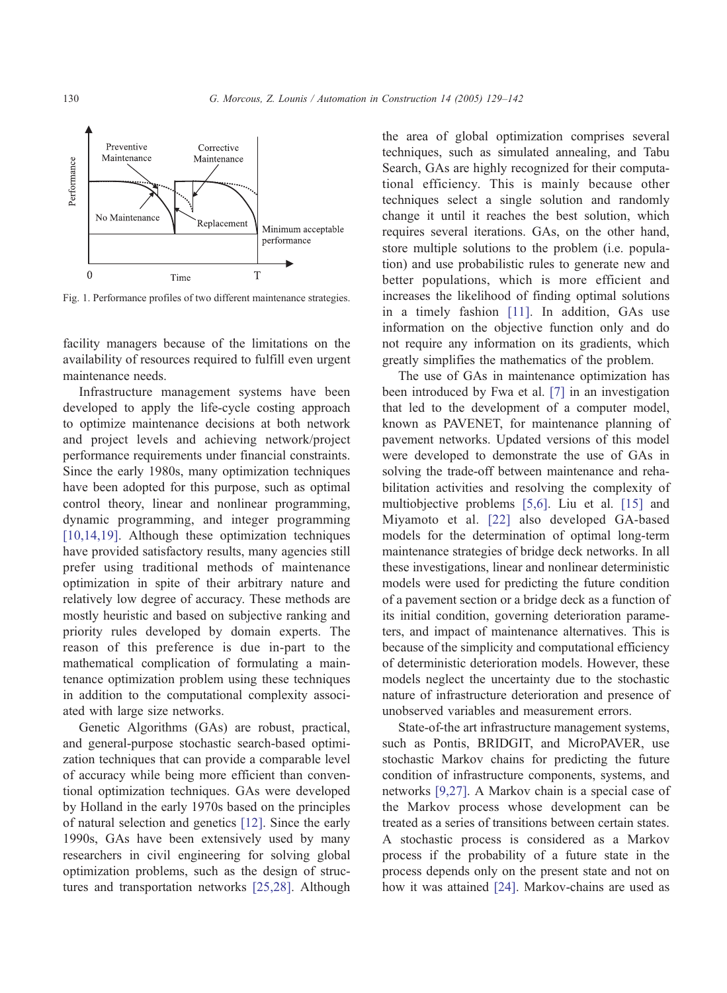<span id="page-1-0"></span>

Fig. 1. Performance profiles of two different maintenance strategies.

facility managers because of the limitations on the availability of resources required to fulfill even urgent maintenance needs.

Infrastructure management systems have been developed to apply the life-cycle costing approach to optimize maintenance decisions at both network and project levels and achieving network/project performance requirements under financial constraints. Since the early 1980s, many optimization techniques have been adopted for this purpose, such as optimal control theory, linear and nonlinear programming, dynamic programming, and integer programming [\[10,14,19\].](#page-13-0) Although these optimization techniques have provided satisfactory results, many agencies still prefer using traditional methods of maintenance optimization in spite of their arbitrary nature and relatively low degree of accuracy. These methods are mostly heuristic and based on subjective ranking and priority rules developed by domain experts. The reason of this preference is due in-part to the mathematical complication of formulating a maintenance optimization problem using these techniques in addition to the computational complexity associated with large size networks.

Genetic Algorithms (GAs) are robust, practical, and general-purpose stochastic search-based optimization techniques that can provide a comparable level of accuracy while being more efficient than conventional optimization techniques. GAs were developed by Holland in the early 1970s based on the principles of natural selection and genetics [\[12\].](#page-13-0) Since the early 1990s, GAs have been extensively used by many researchers in civil engineering for solving global optimization problems, such as the design of structures and transportation networks [\[25,28\].](#page-13-0) Although the area of global optimization comprises several techniques, such as simulated annealing, and Tabu Search, GAs are highly recognized for their computational efficiency. This is mainly because other techniques select a single solution and randomly change it until it reaches the best solution, which requires several iterations. GAs, on the other hand, store multiple solutions to the problem (i.e. population) and use probabilistic rules to generate new and better populations, which is more efficient and increases the likelihood of finding optimal solutions in a timely fashion [\[11\].](#page-13-0) In addition, GAs use information on the objective function only and do not require any information on its gradients, which greatly simplifies the mathematics of the problem.

The use of GAs in maintenance optimization has been introduced by Fwa et al. [\[7\]](#page-13-0) in an investigation that led to the development of a computer model, known as PAVENET, for maintenance planning of pavement networks. Updated versions of this model were developed to demonstrate the use of GAs in solving the trade-off between maintenance and rehabilitation activities and resolving the complexity of multiobjective problems [\[5,6\].](#page-13-0) Liu et al. [\[15\]](#page-13-0) and Miyamoto et al. [\[22\]](#page-13-0) also developed GA-based models for the determination of optimal long-term maintenance strategies of bridge deck networks. In all these investigations, linear and nonlinear deterministic models were used for predicting the future condition of a pavement section or a bridge deck as a function of its initial condition, governing deterioration parameters, and impact of maintenance alternatives. This is because of the simplicity and computational efficiency of deterministic deterioration models. However, these models neglect the uncertainty due to the stochastic nature of infrastructure deterioration and presence of unobserved variables and measurement errors.

State-of-the art infrastructure management systems, such as Pontis, BRIDGIT, and MicroPAVER, use stochastic Markov chains for predicting the future condition of infrastructure components, systems, and networks [\[9,27\].](#page-13-0) A Markov chain is a special case of the Markov process whose development can be treated as a series of transitions between certain states. A stochastic process is considered as a Markov process if the probability of a future state in the process depends only on the present state and not on how it was attained [\[24\].](#page-13-0) Markov-chains are used as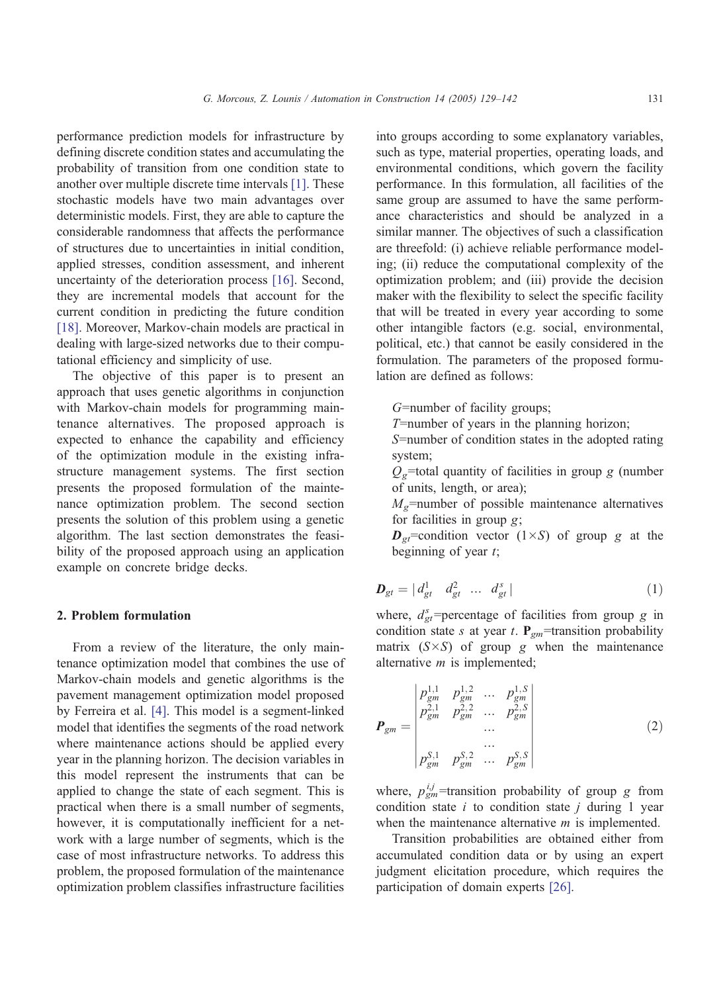performance prediction models for infrastructure by defining discrete condition states and accumulating the probability of transition from one condition state to another over multiple discrete time intervals [\[1\].](#page-13-0) These stochastic models have two main advantages over deterministic models. First, they are able to capture the considerable randomness that affects the performance of structures due to uncertainties in initial condition, applied stresses, condition assessment, and inherent uncertainty of the deterioration process [\[16\].](#page-13-0) Second, they are incremental models that account for the current condition in predicting the future condition [\[18\].](#page-13-0) Moreover, Markov-chain models are practical in dealing with large-sized networks due to their computational efficiency and simplicity of use.

The objective of this paper is to present an approach that uses genetic algorithms in conjunction with Markov-chain models for programming maintenance alternatives. The proposed approach is expected to enhance the capability and efficiency of the optimization module in the existing infrastructure management systems. The first section presents the proposed formulation of the maintenance optimization problem. The second section presents the solution of this problem using a genetic algorithm. The last section demonstrates the feasibility of the proposed approach using an application example on concrete bridge decks.

#### 2. Problem formulation

From a review of the literature, the only maintenance optimization model that combines the use of Markov-chain models and genetic algorithms is the pavement management optimization model proposed by Ferreira et al. [\[4\].](#page-13-0) This model is a segment-linked model that identifies the segments of the road network where maintenance actions should be applied every year in the planning horizon. The decision variables in this model represent the instruments that can be applied to change the state of each segment. This is practical when there is a small number of segments, however, it is computationally inefficient for a network with a large number of segments, which is the case of most infrastructure networks. To address this problem, the proposed formulation of the maintenance optimization problem classifies infrastructure facilities

into groups according to some explanatory variables, such as type, material properties, operating loads, and environmental conditions, which govern the facility performance. In this formulation, all facilities of the same group are assumed to have the same performance characteristics and should be analyzed in a similar manner. The objectives of such a classification are threefold: (i) achieve reliable performance modeling; (ii) reduce the computational complexity of the optimization problem; and (iii) provide the decision maker with the flexibility to select the specific facility that will be treated in every year according to some other intangible factors (e.g. social, environmental, political, etc.) that cannot be easily considered in the formulation. The parameters of the proposed formulation are defined as follows:

G=number of facility groups;

T=number of years in the planning horizon;

S=number of condition states in the adopted rating system;

 $Q_g$ =total quantity of facilities in group g (number of units, length, or area);

 $M<sub>g</sub>$ =number of possible maintenance alternatives for facilities in group g;

 $\mathbf{D}_{\text{gt}}$ =condition vector (1×S) of group g at the beginning of year  $t$ ;

$$
\boldsymbol{D}_{gt} = |d_{gt}^{1} \quad d_{gt}^{2} \quad \dots \quad d_{gt}^{s}| \tag{1}
$$

where,  $d_{gt}^{s}$ =percentage of facilities from group g in condition state s at year t.  $P_{gm}$ =transition probability matrix  $(S \times S)$  of group g when the maintenance alternative  $m$  is implemented;

$$
\boldsymbol{P}_{gm} = \begin{bmatrix} P_{gm}^{1,1} & P_{gm}^{1,2} & \cdots & P_{gm}^{1,S} \\ P_{gm}^{2,1} & P_{gm}^{2,2} & \cdots & P_{gm}^{2,S} \\ \vdots & \vdots & \ddots & \vdots \\ P_{gm}^{S,1} & P_{gm}^{S,2} & \cdots & P_{gm}^{S,S} \end{bmatrix} \tag{2}
$$

where,  $p_{gm}^{i,j}$ =transition probability of group g from condition state  $i$  to condition state  $j$  during 1 year when the maintenance alternative  $m$  is implemented.

Transition probabilities are obtained either from accumulated condition data or by using an expert judgment elicitation procedure, which requires the participation of domain experts [\[26\].](#page-13-0)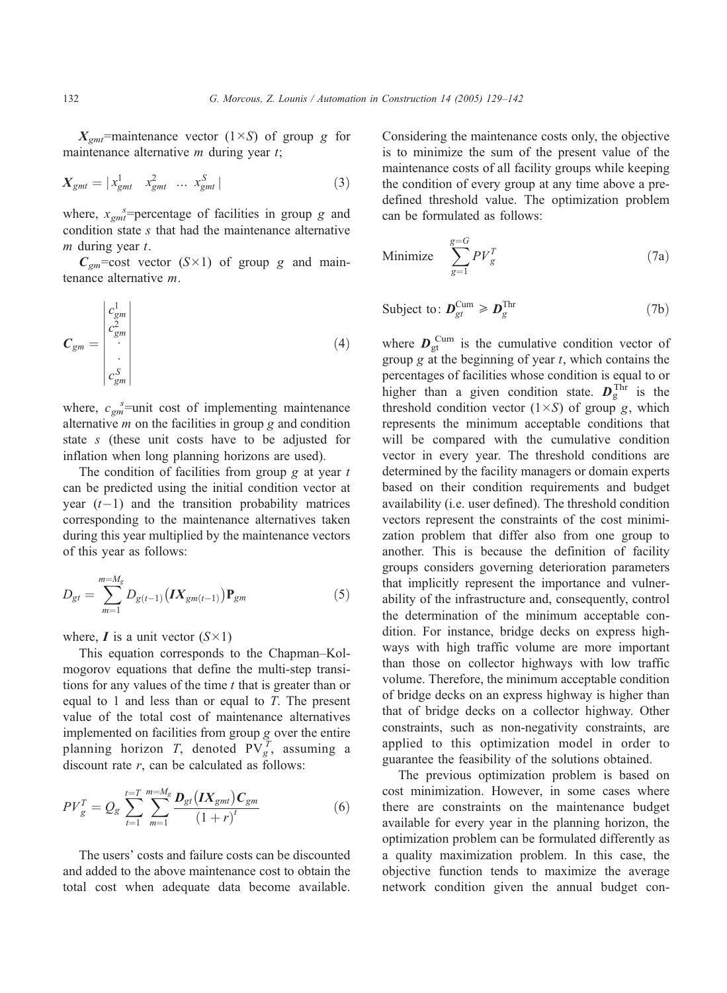$X_{emt}$ =maintenance vector (1×S) of group g for maintenance alternative  $m$  during year  $t$ ;

$$
X_{gmt} = \begin{vmatrix} x_{gmt}^1 & x_{gmt}^2 & \dots & x_{gmt}^S \end{vmatrix} \tag{3}
$$

where,  $x_{gm}$ <sup>s</sup>=percentage of facilities in group g and condition state s that had the maintenance alternative  $m$  during year  $t$ .

 $C_{\text{gm}}$ =cost vector (S×1) of group g and maintenance alternative m.

$$
\boldsymbol{C}_{gm} = \begin{vmatrix} c_{gm}^1 \\ c_{gm}^2 \\ \vdots \\ c_{gm}^S \end{vmatrix} \tag{4}
$$

where,  $c_{gm}^s$ =unit cost of implementing maintenance alternative  $m$  on the facilities in group  $\varrho$  and condition state s (these unit costs have to be adjusted for inflation when long planning horizons are used).

The condition of facilities from group  $g$  at year  $t$ can be predicted using the initial condition vector at year  $(t-1)$  and the transition probability matrices corresponding to the maintenance alternatives taken during this year multiplied by the maintenance vectors of this year as follows:

$$
D_{gt} = \sum_{m=1}^{m=M_g} D_{g(t-1)} \big( I X_{gm(t-1)} \big) \mathbf{P}_{gm} \tag{5}
$$

where,  $\boldsymbol{I}$  is a unit vector  $(S \times 1)$ 

This equation corresponds to the Chapman–Kolmogorov equations that define the multi-step transitions for any values of the time  $t$  that is greater than or equal to 1 and less than or equal to T. The present value of the total cost of maintenance alternatives implemented on facilities from group g over the entire planning horizon T, denoted  $\overline{PV}_{g}^{T}$ , assuming a discount rate  $r$ , can be calculated as follows:

$$
PV_g^T = Q_g \sum_{t=1}^{t=T} \sum_{m=1}^{m=M_g} \frac{D_{gt}(IX_{gm})C_{gm}}{(1+r)^t}
$$
(6)

The users' costs and failure costs can be discounted and added to the above maintenance cost to obtain the total cost when adequate data become available.

Considering the maintenance costs only, the objective is to minimize the sum of the present value of the maintenance costs of all facility groups while keeping the condition of every group at any time above a predefined threshold value. The optimization problem can be formulated as follows:

$$
\text{Minimize} \quad \sum_{g=1}^{g=G} P V_g^T \tag{7a}
$$

$$
Subject to: \mathbf{D}_{gt}^{Cum} \geqslant \mathbf{D}_{g}^{Thr} \tag{7b}
$$

where  $\mathbf{D}_{gt}^{\text{Cum}}$  is the cumulative condition vector of group  $g$  at the beginning of year  $t$ , which contains the percentages of facilities whose condition is equal to or higher than a given condition state.  $D_g^{\text{Thr}}$  is the threshold condition vector  $(1\times S)$  of group g, which represents the minimum acceptable conditions that will be compared with the cumulative condition vector in every year. The threshold conditions are determined by the facility managers or domain experts based on their condition requirements and budget availability (i.e. user defined). The threshold condition vectors represent the constraints of the cost minimization problem that differ also from one group to another. This is because the definition of facility groups considers governing deterioration parameters that implicitly represent the importance and vulnerability of the infrastructure and, consequently, control the determination of the minimum acceptable condition. For instance, bridge decks on express highways with high traffic volume are more important than those on collector highways with low traffic volume. Therefore, the minimum acceptable condition of bridge decks on an express highway is higher than that of bridge decks on a collector highway. Other constraints, such as non-negativity constraints, are applied to this optimization model in order to guarantee the feasibility of the solutions obtained.

The previous optimization problem is based on cost minimization. However, in some cases where there are constraints on the maintenance budget available for every year in the planning horizon, the optimization problem can be formulated differently as a quality maximization problem. In this case, the objective function tends to maximize the average network condition given the annual budget con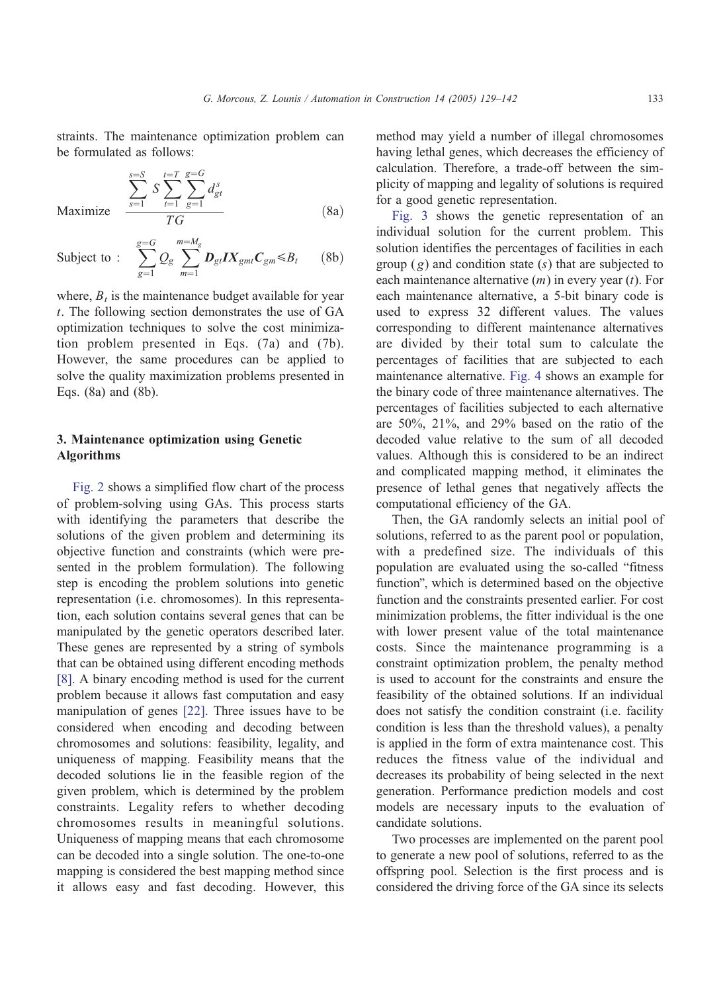straints. The maintenance optimization problem can be formulated as follows:

$$
\text{Maximize} \quad \frac{\sum_{s=1}^{s=S} S \sum_{t=1}^{t=T} \sum_{g=1}^{g=G} d_{gt}^s}{TG} \tag{8a}
$$

Subject to : 
$$
\sum_{g=1}^{g=G} Q_g \sum_{m=1}^{m=M_g} D_{gl} I X_{gmt} C_{gm} \le B_t
$$
 (8b)

where,  $B_t$  is the maintenance budget available for year t. The following section demonstrates the use of GA optimization techniques to solve the cost minimization problem presented in Eqs. (7a) and (7b). However, the same procedures can be applied to solve the quality maximization problems presented in Eqs. (8a) and (8b).

## 3. Maintenance optimization using Genetic Algorithms

[Fig. 2](#page-5-0) shows a simplified flow chart of the process of problem-solving using GAs. This process starts with identifying the parameters that describe the solutions of the given problem and determining its objective function and constraints (which were presented in the problem formulation). The following step is encoding the problem solutions into genetic representation (i.e. chromosomes). In this representation, each solution contains several genes that can be manipulated by the genetic operators described later. These genes are represented by a string of symbols that can be obtained using different encoding methods [\[8\].](#page-13-0) A binary encoding method is used for the current problem because it allows fast computation and easy manipulation of genes [\[22\].](#page-13-0) Three issues have to be considered when encoding and decoding between chromosomes and solutions: feasibility, legality, and uniqueness of mapping. Feasibility means that the decoded solutions lie in the feasible region of the given problem, which is determined by the problem constraints. Legality refers to whether decoding chromosomes results in meaningful solutions. Uniqueness of mapping means that each chromosome can be decoded into a single solution. The one-to-one mapping is considered the best mapping method since it allows easy and fast decoding. However, this method may yield a number of illegal chromosomes having lethal genes, which decreases the efficiency of calculation. Therefore, a trade-off between the simplicity of mapping and legality of solutions is required for a good genetic representation.

[Fig. 3](#page-6-0) shows the genetic representation of an individual solution for the current problem. This solution identifies the percentages of facilities in each group  $(g)$  and condition state  $(s)$  that are subjected to each maintenance alternative  $(m)$  in every year  $(t)$ . For each maintenance alternative, a 5-bit binary code is used to express 32 different values. The values corresponding to different maintenance alternatives are divided by their total sum to calculate the percentages of facilities that are subjected to each maintenance alternative. [Fig. 4](#page-6-0) shows an example for the binary code of three maintenance alternatives. The percentages of facilities subjected to each alternative are 50%, 21%, and 29% based on the ratio of the decoded value relative to the sum of all decoded values. Although this is considered to be an indirect and complicated mapping method, it eliminates the presence of lethal genes that negatively affects the computational efficiency of the GA.

Then, the GA randomly selects an initial pool of solutions, referred to as the parent pool or population, with a predefined size. The individuals of this population are evaluated using the so-called "fitness" function", which is determined based on the objective function and the constraints presented earlier. For cost minimization problems, the fitter individual is the one with lower present value of the total maintenance costs. Since the maintenance programming is a constraint optimization problem, the penalty method is used to account for the constraints and ensure the feasibility of the obtained solutions. If an individual does not satisfy the condition constraint (i.e. facility condition is less than the threshold values), a penalty is applied in the form of extra maintenance cost. This reduces the fitness value of the individual and decreases its probability of being selected in the next generation. Performance prediction models and cost models are necessary inputs to the evaluation of candidate solutions.

Two processes are implemented on the parent pool to generate a new pool of solutions, referred to as the offspring pool. Selection is the first process and is considered the driving force of the GA since its selects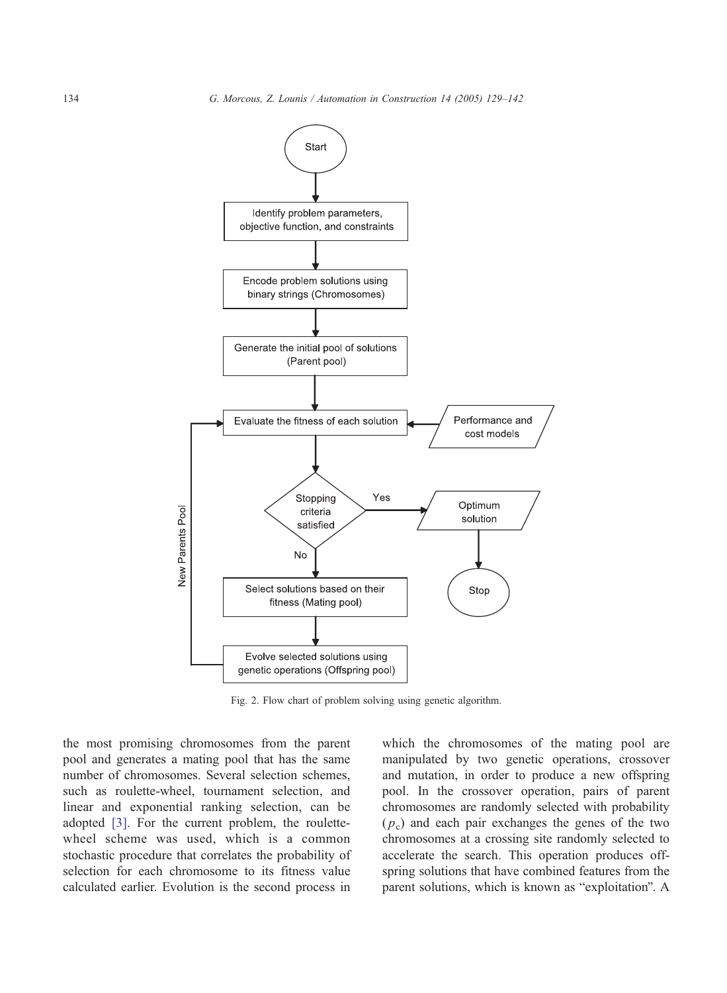<span id="page-5-0"></span>

Fig. 2. Flow chart of problem solving using genetic algorithm.

the most promising chromosomes from the parent pool and generates a mating pool that has the same number of chromosomes. Several selection schemes, such as roulette-wheel, tournament selection, and linear and exponential ranking selection, can be adopted [\[3\]](#page-13-0). For the current problem, the roulettewheel scheme was used, which is a common stochastic procedure that correlates the probability of selection for each chromosome to its fitness value calculated earlier. Evolution is the second process in which the chromosomes of the mating pool are manipulated by two genetic operations, crossover and mutation, in order to produce a new offspring pool. In the crossover operation, pairs of parent chromosomes are randomly selected with probability  $(p<sub>c</sub>)$  and each pair exchanges the genes of the two chromosomes at a crossing site randomly selected to accelerate the search. This operation produces offspring solutions that have combined features from the parent solutions, which is known as "exploitation". A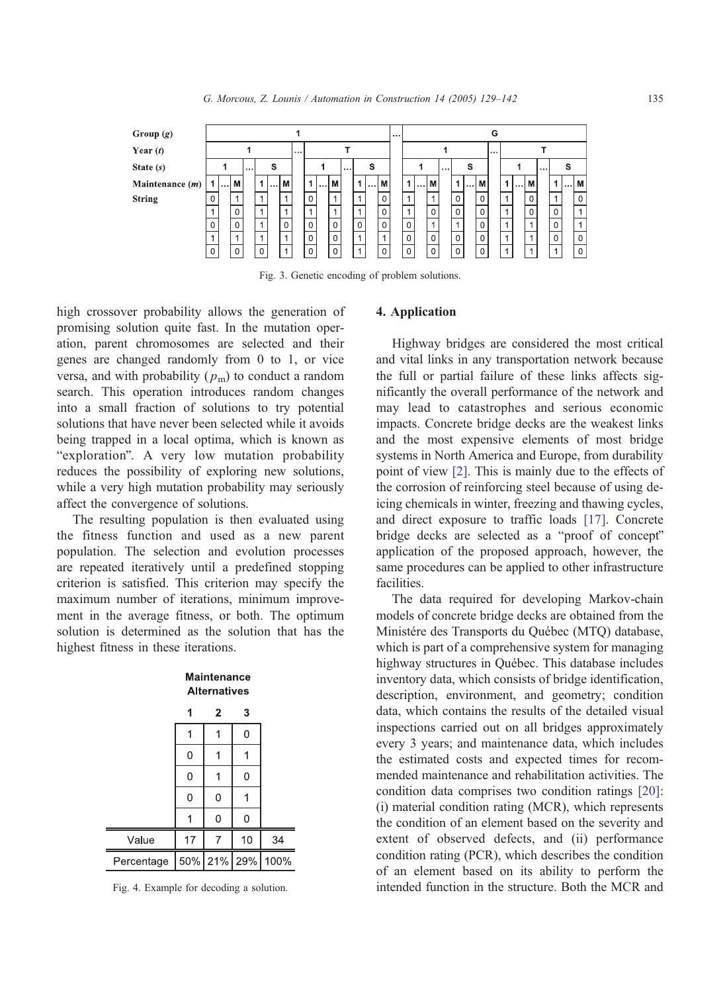<span id="page-6-0"></span>

Fig. 3. Genetic encoding of problem solutions.

high crossover probability allows the generation of promising solution quite fast. In the mutation operation, parent chromosomes are selected and their genes are changed randomly from 0 to 1, or vice versa, and with probability  $(p_m)$  to conduct a random search. This operation introduces random changes into a small fraction of solutions to try potential solutions that have never been selected while it avoids being trapped in a local optima, which is known as "exploration". A very low mutation probability reduces the possibility of exploring new solutions, while a very high mutation probability may seriously affect the convergence of solutions.

The resulting population is then evaluated using the fitness function and used as a new parent population. The selection and evolution processes are repeated iteratively until a predefined stopping criterion is satisfied. This criterion may specify the maximum number of iterations, minimum improvement in the average fitness, or both. The optimum solution is determined as the solution that has the highest fitness in these iterations.

**Maintenance Alternatives** 

|                               |             | 2 | 3  |    |
|-------------------------------|-------------|---|----|----|
|                               |             |   | 0  |    |
|                               | $\mathbf 0$ |   |    |    |
|                               | 0           |   | 0  |    |
|                               | 0           | 0 |    |    |
|                               |             | 0 | 0  |    |
| Value                         | 17          |   | 10 | 34 |
| Percentage   50% 21% 29% 100% |             |   |    |    |

Fig. 4. Example for decoding a solution.

#### 4. Application

Highway bridges are considered the most critical and vital links in any transportation network because the full or partial failure of these links affects significantly the overall performance of the network and may lead to catastrophes and serious economic impacts. Concrete bridge decks are the weakest links and the most expensive elements of most bridge systems in North America and Europe, from durability point of view [\[2\].](#page-13-0) This is mainly due to the effects of the corrosion of reinforcing steel because of using deicing chemicals in winter, freezing and thawing cycles, and direct exposure to traffic loads [\[17\].](#page-13-0) Concrete bridge decks are selected as a "proof of concept" application of the proposed approach, however, the same procedures can be applied to other infrastructure facilities.

The data required for developing Markov-chain models of concrete bridge decks are obtained from the Ministére des Transports du Québec (MTQ) database, which is part of a comprehensive system for managing highway structures in Québec. This database includes inventory data, which consists of bridge identification, description, environment, and geometry; condition data, which contains the results of the detailed visual inspections carried out on all bridges approximately every 3 years; and maintenance data, which includes the estimated costs and expected times for recommended maintenance and rehabilitation activities. The condition data comprises two condition ratings [\[20\]:](#page-13-0) (i) material condition rating (MCR), which represents the condition of an element based on the severity and extent of observed defects, and (ii) performance condition rating (PCR), which describes the condition of an element based on its ability to perform the intended function in the structure. Both the MCR and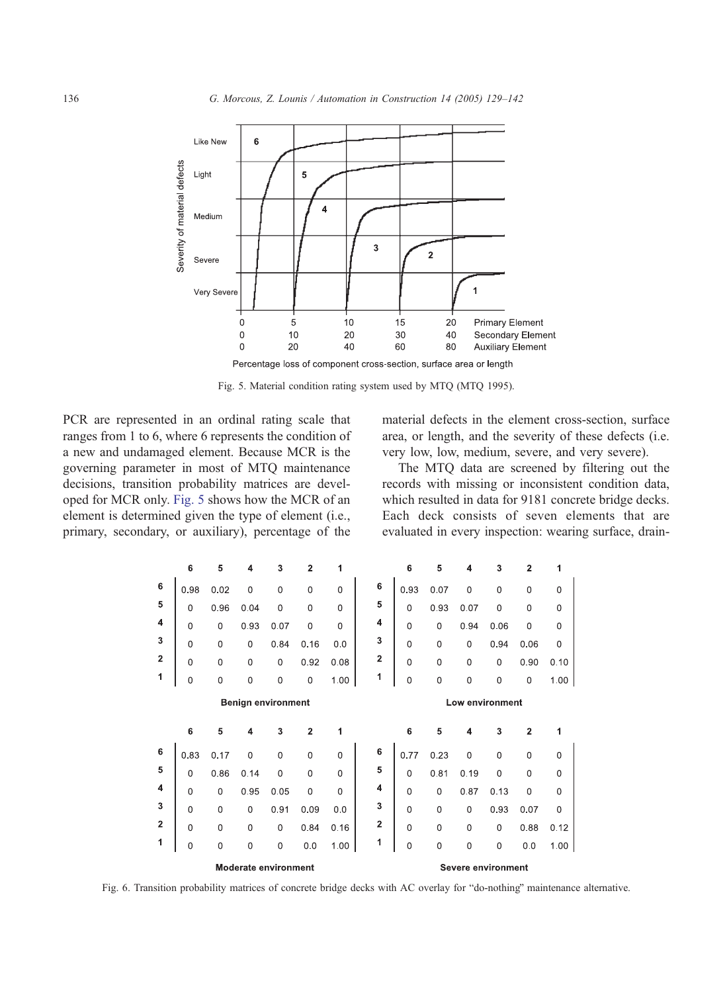<span id="page-7-0"></span>

Fig. 5. Material condition rating system used by MTQ (MTQ 1995).

PCR are represented in an ordinal rating scale that ranges from 1 to 6, where 6 represents the condition of a new and undamaged element. Because MCR is the governing parameter in most of MTQ maintenance decisions, transition probability matrices are developed for MCR only. Fig. 5 shows how the MCR of an element is determined given the type of element (i.e., primary, secondary, or auxiliary), percentage of the material defects in the element cross-section, surface area, or length, and the severity of these defects (i.e. very low, low, medium, severe, and very severe).

The MTQ data are screened by filtering out the records with missing or inconsistent condition data, which resulted in data for 9181 concrete bridge decks. Each deck consists of seven elements that are evaluated in every inspection: wearing surface, drain-

|                         | 6            | 5              | 4                         | 3                | $\overline{2}$   |             |                         | 6              | 5              | 4              | 3               | $\overline{2}$ |                  |
|-------------------------|--------------|----------------|---------------------------|------------------|------------------|-------------|-------------------------|----------------|----------------|----------------|-----------------|----------------|------------------|
| 6                       | 0.98         | 0.02           | $\mathbf 0$               | 0                | 0                | $\mathbf 0$ | 6                       | 0.93           | 0.07           | $\mathbf 0$    | $\mathbf 0$     | $\mathbf 0$    | 0                |
| 5                       | $\mathbf{0}$ | 0.96           | 0.04                      | $\overline{0}$   | $\overline{0}$   | $\Omega$    | 5                       | $\mathbf{0}$   | 0.93           | 0.07           | $\mathbf 0$     | $\mathbf{0}$   | $\mathbf 0$      |
| $\overline{4}$          | $\mathbf 0$  | $\mathbf 0$    | 0.93                      | 0.07             | 0                | $\Omega$    | 4                       | $\overline{0}$ | 0              | 0.94           | 0.06            | $\mathbf{0}$   | $\mathbf 0$      |
| 3                       | $\mathbf 0$  | $\mathbf 0$    | $\mathbf 0$               | 0.84             | 0.16             | 0.0         | 3                       | $\mathbf 0$    | 0              | 0              | 0.94            | 0.06           | $\mathbf 0$      |
| $\overline{2}$          | $\mathbf 0$  | $\mathbf 0$    | $\mathbf 0$               | $\mathbf 0$      | 0.92             | 0.08        | $\overline{2}$          | $\mathbf 0$    | 0              | 0              | $\mathbf 0$     | 0.90           | 0.10             |
| 1                       | 0            | $\mathbf 0$    | $\mathbf 0$               | 0                | $\boldsymbol{0}$ | 1.00        | 1                       | $\mathbf 0$    | 0              | 0              | $\mathbf 0$     | $\mathbf 0$    | 1.00             |
|                         |              |                | <b>Benign environment</b> |                  |                  |             |                         |                |                |                | Low environment |                |                  |
|                         |              |                |                           |                  |                  |             |                         |                |                |                |                 |                |                  |
|                         | 6            | 5              | 4                         | 3                | $\overline{2}$   | 1           |                         | 6              | 5              | 4              | 3               | $\overline{2}$ | 1                |
| 6                       | 0.83         | 0.17           | $\Omega$                  | $\mathbf 0$      | $\mathbf 0$      | $\Omega$    | 6                       | 0.77           | 0.23           | $\overline{0}$ | $\overline{0}$  | $\mathbf 0$    | $\mathbf 0$      |
| 5                       | 0            | 0.86           | 0.14                      | $\Omega$         | $\Omega$         | $\Omega$    | 5                       | $\Omega$       | 0.81           | 0.19           | $\Omega$        | $\Omega$       | 0                |
| $\overline{\mathbf{4}}$ | $\mathbf 0$  | $\mathbf 0$    | 0.95                      | 0.05             | 0                | $\Omega$    | 4                       | $\mathbf 0$    | 0              | 0.87           | 0.13            | 0              | $\boldsymbol{0}$ |
| 3                       | $\mathbf 0$  | $\overline{0}$ | $\mathbf 0$               | 0.91             | 0.09             | 0.0         | 3                       | $\overline{0}$ | $\overline{0}$ | 0              | 0.93            | 0.07           | $\mathbf 0$      |
| $\overline{2}$          | 0            | $\mathbf 0$    | $\mathbf 0$               | 0                | 0.84             | 0.16        | $\overline{\mathbf{2}}$ | $\mathbf 0$    | 0              | 0              | $\mathbf 0$     | 0.88           | 0.12             |
| 1                       | 0            | $\mathbf 0$    | $\mathbf 0$               | $\boldsymbol{0}$ | 0 <sub>0</sub>   | 1.00        | 1                       | $\mathbf 0$    | $\mathbf 0$    | $\mathbf 0$    | $\mathbf 0$     | 0.0            | 1.00             |

Fig. 6. Transition probability matrices of concrete bridge decks with AC overlay for "do-nothing" maintenance alternative.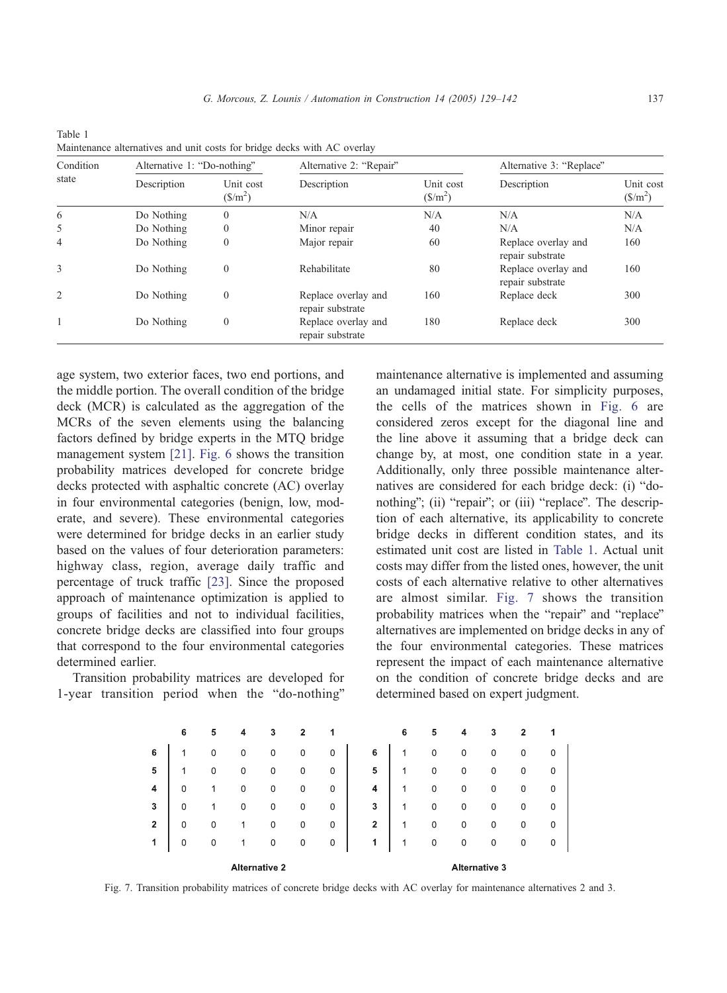Table 1 Maintenance alternatives and unit costs for bridge decks with AC overlay

| Condition      | Alternative 1: "Do-nothing" |                                              | Alternative 2: "Repair"                 |                                              | Alternative 3: "Replace"                |                                              |
|----------------|-----------------------------|----------------------------------------------|-----------------------------------------|----------------------------------------------|-----------------------------------------|----------------------------------------------|
| state          | Description                 | Unit cost<br>$(\frac{\text{S}}{\text{m}^2})$ | Description                             | Unit cost<br>$(\frac{\text{S}}{\text{m}^2})$ | Description                             | Unit cost<br>$(\frac{\text{S}}{\text{m}^2})$ |
| 6              | Do Nothing                  | $\mathbf{0}$                                 | N/A                                     | N/A                                          | N/A                                     | N/A                                          |
| 5              | Do Nothing                  | $\theta$                                     | Minor repair                            | 40                                           | N/A                                     | N/A                                          |
| $\overline{4}$ | Do Nothing                  | $\mathbf{0}$                                 | Major repair                            | 60                                           | Replace overlay and<br>repair substrate | 160                                          |
| 3              | Do Nothing                  | $\mathbf{0}$                                 | Rehabilitate                            | 80                                           | Replace overlay and<br>repair substrate | 160                                          |
| 2              | Do Nothing                  | $\mathbf{0}$                                 | Replace overlay and<br>repair substrate | 160                                          | Replace deck                            | 300                                          |
|                | Do Nothing                  | $\mathbf{0}$                                 | Replace overlay and<br>repair substrate | 180                                          | Replace deck                            | 300                                          |

age system, two exterior faces, two end portions, and the middle portion. The overall condition of the bridge deck (MCR) is calculated as the aggregation of the MCRs of the seven elements using the balancing factors defined by bridge experts in the MTQ bridge management system [\[21\].](#page-13-0) [Fig. 6](#page-7-0) shows the transition probability matrices developed for concrete bridge decks protected with asphaltic concrete (AC) overlay in four environmental categories (benign, low, moderate, and severe). These environmental categories were determined for bridge decks in an earlier study based on the values of four deterioration parameters: highway class, region, average daily traffic and percentage of truck traffic [\[23\].](#page-13-0) Since the proposed approach of maintenance optimization is applied to groups of facilities and not to individual facilities, concrete bridge decks are classified into four groups that correspond to the four environmental categories determined earlier.

Transition probability matrices are developed for 1-year transition period when the "do-nothing"

maintenance alternative is implemented and assuming an undamaged initial state. For simplicity purposes, the cells of the matrices shown in [Fig. 6](#page-7-0) are considered zeros except for the diagonal line and the line above it assuming that a bridge deck can change by, at most, one condition state in a year. Additionally, only three possible maintenance alternatives are considered for each bridge deck: (i) "donothing"; (ii) "repair"; or (iii) "replace". The description of each alternative, its applicability to concrete bridge decks in different condition states, and its estimated unit cost are listed in Table 1. Actual unit costs may differ from the listed ones, however, the unit costs of each alternative relative to other alternatives are almost similar. Fig. 7 shows the transition probability matrices when the "repair" and "replace" alternatives are implemented on bridge decks in any of the four environmental categories. These matrices represent the impact of each maintenance alternative on the condition of concrete bridge decks and are determined based on expert judgment.

|                | 6           | 5        | 4           | 3                    | $\overline{2}$ | 1 |                | 6            | 5           |             | 3                    | $\overline{2}$   | 1                        |
|----------------|-------------|----------|-------------|----------------------|----------------|---|----------------|--------------|-------------|-------------|----------------------|------------------|--------------------------|
| 6              | 1           | 0        | 0           | 0                    | 0              | 0 | 6              | 1            | 0           | 0           | 0                    | 0                | $\overline{0}$           |
| 5              | 1           | $\Omega$ | 0           | 0                    | 0              | 0 | 5              | $\mathbf{1}$ | $\mathbf 0$ | $\mathbf 0$ | $\mathbf 0$          | $\mathbf 0$      | $\overline{0}$           |
| $\overline{4}$ | $\mathbf 0$ |          | 0           | 0                    | 0              | 0 | 4              | 1            | 0           | 0           | 0                    | $\boldsymbol{0}$ | $\overline{0}$           |
| 3              | $\mathbf 0$ |          | $\mathbf 0$ | 0                    | 0              | 0 | 3              | 1            | 0           | 0           | 0                    | $\mathbf 0$      | $\overline{\phantom{0}}$ |
| $\overline{2}$ | $\mathbf 0$ | 0        | 1           | 0                    | $\mathbf 0$    | 0 | $\overline{2}$ | 1            | 0           | 0           | 0                    | $\mathbf 0$      | $\overline{\mathbf{0}}$  |
| 1              | 0           | 0        |             | 0                    | 0              | 0 |                | 1            | 0           | 0           | 0                    | 0                | $\overline{0}$           |
|                |             |          |             | <b>Alternative 2</b> |                |   |                |              |             |             | <b>Alternative 3</b> |                  |                          |

Fig. 7. Transition probability matrices of concrete bridge decks with AC overlay for maintenance alternatives 2 and 3.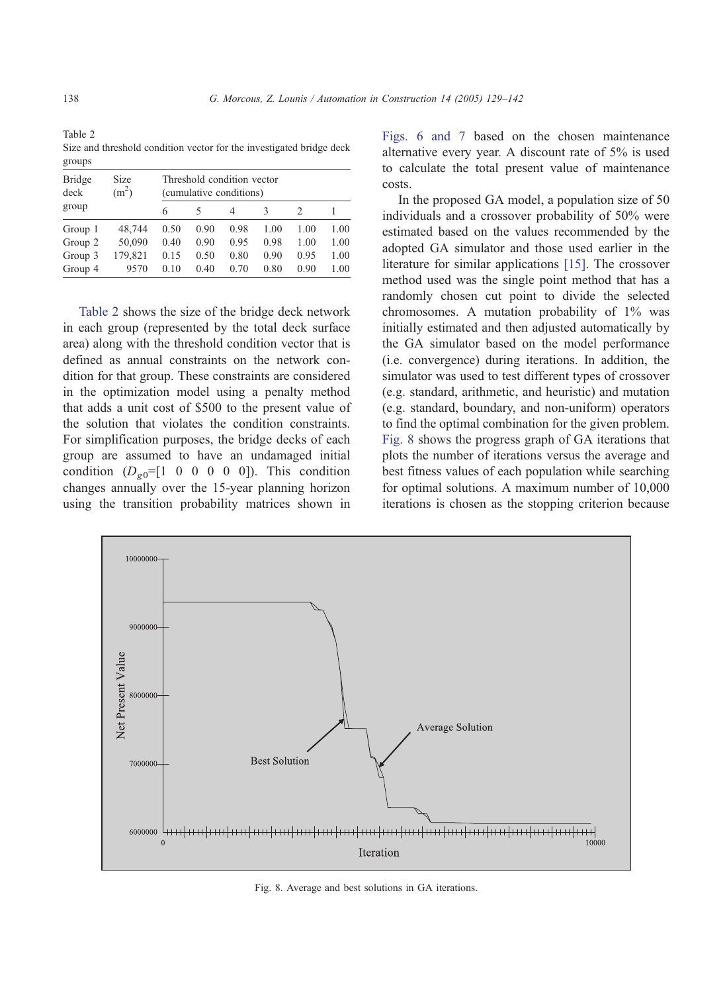Table 2 Size and threshold condition vector for the investigated bridge deck groups

| <b>Bridge</b><br>deck | Size<br>(m <sup>2</sup> ) |      | Threshold condition vector<br>(cumulative conditions) |      |      |      |      |
|-----------------------|---------------------------|------|-------------------------------------------------------|------|------|------|------|
| group                 |                           | 6    |                                                       | 4    | 3    | 2    |      |
| Group 1               | 48.744                    | 0.50 | 0.90                                                  | 0.98 | 1.00 | 1.00 | 1.00 |
| Group 2               | 50,090                    | 0.40 | 0.90                                                  | 0.95 | 0.98 | 1.00 | 1.00 |
| Group 3               | 179,821                   | 0.15 | 0.50                                                  | 0.80 | 0.90 | 0.95 | 1.00 |
| Group 4               | 9570                      | 0.10 | 0.40                                                  | 0.70 | 0.80 | 0.90 | 1.00 |

Table 2 shows the size of the bridge deck network in each group (represented by the total deck surface area) along with the threshold condition vector that is defined as annual constraints on the network condition for that group. These constraints are considered in the optimization model using a penalty method that adds a unit cost of \$500 to the present value of the solution that violates the condition constraints. For simplification purposes, the bridge decks of each group are assumed to have an undamaged initial condition  $(D_{g0}=[1 \ 0 \ 0 \ 0 \ 0 \ 0])$ . This condition changes annually over the 15-year planning horizon using the transition probability matrices shown in

[Figs. 6 and 7](#page-7-0) based on the chosen maintenance alternative every year. A discount rate of 5% is used to calculate the total present value of maintenance costs.

In the proposed GA model, a population size of 50 individuals and a crossover probability of 50% were estimated based on the values recommended by the adopted GA simulator and those used earlier in the literature for similar applications [\[15\].](#page-13-0) The crossover method used was the single point method that has a randomly chosen cut point to divide the selected chromosomes. A mutation probability of 1% was initially estimated and then adjusted automatically by the GA simulator based on the model performance (i.e. convergence) during iterations. In addition, the simulator was used to test different types of crossover (e.g. standard, arithmetic, and heuristic) and mutation (e.g. standard, boundary, and non-uniform) operators to find the optimal combination for the given problem. Fig. 8 shows the progress graph of GA iterations that plots the number of iterations versus the average and best fitness values of each population while searching for optimal solutions. A maximum number of 10,000 iterations is chosen as the stopping criterion because



Fig. 8. Average and best solutions in GA iterations.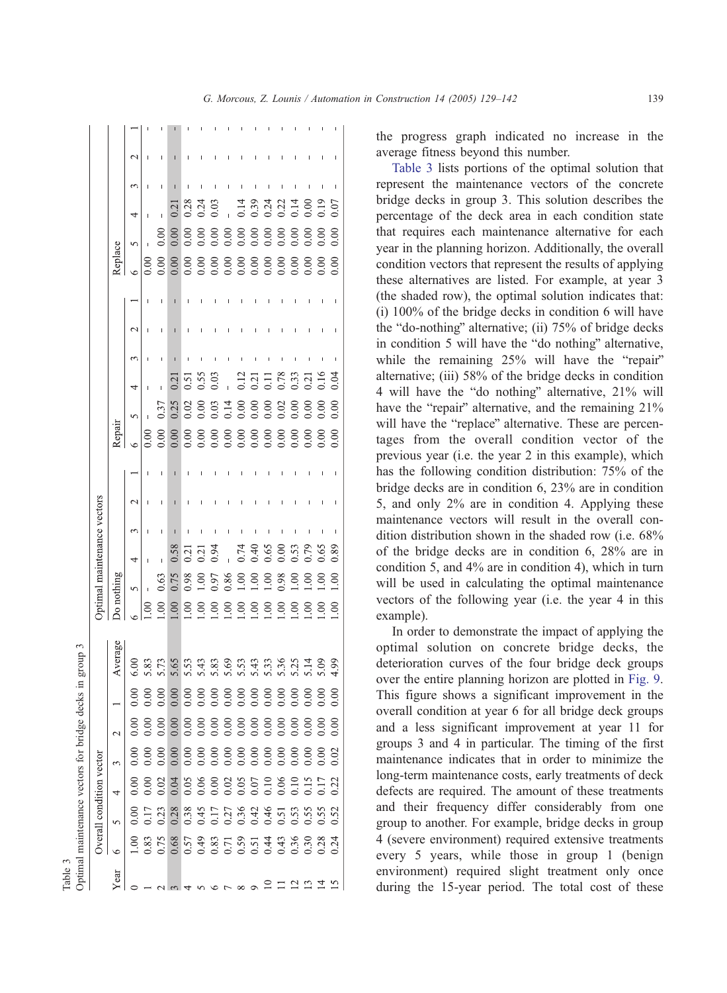|                |                  | Optimal maintenance vectors for bridge |      |                 |                  |      | decks in group 3          |                  |                 |                             |   |                    |                 |      |                   |        |                    |                     |           |                   |            |                    |  |
|----------------|------------------|----------------------------------------|------|-----------------|------------------|------|---------------------------|------------------|-----------------|-----------------------------|---|--------------------|-----------------|------|-------------------|--------|--------------------|---------------------|-----------|-------------------|------------|--------------------|--|
|                |                  | Overall condition vector               |      |                 |                  |      |                           |                  |                 | Optimal maintenance vectors |   |                    |                 |      |                   |        |                    |                     |           |                   |            |                    |  |
| Year           | ७                | 5                                      | 4    | 3               | $\mathbf{\sim}$  |      | Average                   |                  | Do nothing      |                             |   |                    | Repair          |      |                   |        |                    | Replace             |           |                   |            |                    |  |
|                | $\frac{00}{100}$ | $_{\rm 0.00}$                          | 0.00 | 0.00            |                  | 0.00 | 6.00                      |                  | n               | 4                           | 3 | $\scriptstyle\sim$ | $\circ$         | 5    | 4                 | $\sim$ | $\scriptstyle\sim$ | $\circ$             | 5         | 4                 | $\epsilon$ | $\scriptstyle\sim$ |  |
|                | 0.83             | 0.17                                   | 0.00 | 0.00            | 0.00             |      | 5.83                      | ຣຸ               |                 |                             |   |                    | $\frac{8}{2}$   |      |                   |        |                    | $_{\odot}^{\rm 00}$ |           |                   |            |                    |  |
|                | 0.75             | 0.23                                   | 0.02 | 0.00            | 0.00             | 0.00 | 5.73                      | 00.1             | 0.63            |                             | I |                    | 0.00            | 0.37 |                   |        | Ï                  | 0.00                | $_{0.00}$ |                   |            |                    |  |
|                | 0.68             | 0.28                                   | 0.04 | 0.00            | 0.00             | 0.00 | 5.65                      | $\frac{1}{2}$    | 0.75            | 0.58                        |   |                    | 0.00            | 0.25 | 0.2               |        |                    | 0.00                | 0.00      | $\overline{0.21}$ |            |                    |  |
|                | 0.57             | 0.38                                   | 0.05 | 0.00            | 0.00             | 0.00 |                           | S.               | 0.98            | $\overline{0.21}$           |   |                    | 0.00            | 0.02 | $\overline{0.5}$  |        |                    | 0.00                | $_{0.00}$ | 0.28              |            |                    |  |
|                | 64.0             | 0.45                                   | 0.06 | 0.00            | $_{\rm 0.0}$     | 0.00 |                           | $\frac{8}{1}$    | $\frac{8}{1}$   | <u>ี ว</u> ิ                |   |                    | 0.00            | 0.00 | 0.55              |        |                    | 0.00                | 0.00      | 0.24              |            |                    |  |
|                | 0.83             | 0.17                                   | 0.00 | 00(             | 0.00             | 0.00 |                           | $\dot{5}$        | 0.97            | 0.94                        |   |                    | 0.00            | 0.03 | 0.03              |        |                    | 0.00                | 0(        | 0.03              |            |                    |  |
|                | 0.71             | 0.27                                   | 0.02 | 0.00            | 0.00             | 0.00 |                           | $\frac{8}{1}$    | 0.86            |                             |   |                    | $\geq$          | 0.14 |                   |        |                    | 0.00                | $\approx$ |                   |            |                    |  |
| ∝              | 0.59             | 0.36                                   | 0.05 | 0.00            | $\overline{0}$ . | 0.00 |                           | $\frac{00}{100}$ | $\frac{8}{1}$   | 0.74                        |   |                    | 0.00            | 0.00 | $\overline{0.12}$ |        |                    | 0.00                | $_{0.00}$ | 0.14              |            |                    |  |
|                | 0.51             | 0.42                                   | 0.07 | 0.00            | $\overline{0.0}$ | 0.00 |                           | S.               | 00.1            | 0.40                        |   |                    | 0.00            | 0.00 | 0.21              |        |                    | 0.00                | 0.00      | 0.39              |            |                    |  |
|                | 0.44             | 0.46                                   | 0.10 | 0.00            | $\overline{0.0}$ | 0.00 |                           | $\frac{8}{1}$    | 00.1            | 0.65                        |   |                    | 0.00            | 0.00 | $\overline{1}$    |        |                    | 0.00                | 0.00      | 0.24              |            |                    |  |
|                | 0.43             | 0.51                                   | 0.06 | 0.00            | $\overline{0}$ . | 0.00 | $33804$<br>$536$<br>$514$ | S.               | 0.98            | 0.00                        |   |                    | 0.00            | 0.02 | 0.78              |        |                    | 0.00                | 0.00      | 0.22              |            |                    |  |
| ċ,             | 0.36             | 0.53                                   | 0.10 | 0.00            | $_{\rm 0.0}$     | 0.00 |                           | 00.1             | $\frac{8}{1}$   | 0.53                        |   |                    | 0.00            | 0.00 | 0.33              |        |                    | 0.00                | 0.00      | 0.14              |            |                    |  |
| $\mathbf{r}$   | 0.30             | 0.55                                   | 0.15 | 00(             | $\tilde{\circ}$  | 0.00 |                           | 00 <sub>1</sub>  | $\frac{8}{100}$ | 0.79                        |   |                    | 00 <sup>1</sup> | 0.00 | $\overline{21}$   |        |                    | 0.00                | 000       | 0.00              |            |                    |  |
| $\overline{4}$ | 0.28             | 0.55                                   | 0.17 | 00 <sub>1</sub> | 0.00             | 0.00 | 5.09                      | $\frac{1}{2}$    | $\frac{8}{1}$   | 0.65                        |   |                    | 00(             | 0.00 | 0.16              |        |                    | 0.00                | 0.00      | 0.19              |            |                    |  |
|                | 0.24             | 0.52                                   | 0.22 | 0.02            | 0.00             | 0.00 | 4.99                      | 00.1             | 00.1            | 0.89                        |   |                    | 0.00            | 0.00 | 0.04              |        |                    | 0.00                | $_{0.00}$ | 0.07              |            |                    |  |

Table 3

the progress graph indicated no increase in the average fitness beyond this number.

Table 3 lists portions of the optimal solution that represent the maintenance vectors of the concrete bridge decks in group 3. This solution describes the percentage of the deck area in each condition state that requires each maintenance alternative for each year in the planning horizon. Additionally, the overall condition vectors that represent the results of applying these alternatives are listed. For example, at year 3 (the shaded row), the optimal solution indicates that: (i) 100% of the bridge decks in condition 6 will have the "do-nothing" alternative; (ii) 75% of bridge decks in condition 5 will have the "do nothing" alternative, while the remaining 25% will have the "repair" alternative; (iii) 58% of the bridge decks in condition 4 will have the "do nothing" alternative, 21% will have the "repair" alternative, and the remaining 21% will have the "replace" alternative. These are percentages from the overall condition vector of the previous year (i.e. the year 2 in this example), which has the following condition distribution: 75% of the bridge decks are in condition 6, 23% are in condition 5, and only 2% are in condition 4. Applying these maintenance vectors will result in the overall condition distribution shown in the shaded row (i.e. 68% of the bridge decks are in condition 6, 28% are in condition 5, and 4% are in condition 4), which in turn will be used in calculating the optimal maintenance vectors of the following year (i.e. the year 4 in this example).

In order to demonstrate the impact of applying the optimal solution on concrete bridge decks, the deterioration curves of the four bridge deck groups over the entire planning horizon are plotted in [Fig. 9](#page-11-0) . This figure shows a significant improvement in the overall condition at year 6 for all bridge deck groups and a less significant improvement at year 11 for groups 3 and 4 in particular. The timing of the first maintenance indicates that in order to minimize the long-term maintenance costs, early treatments of deck defects are required. The amount of these treatments and their frequency differ considerably from one group to another. For example, bridge decks in group 4 (severe environment) required extensive treatments every 5 years, while those in group 1 (benign environment) required slight treatment only once during the 15-year period. The total cost of these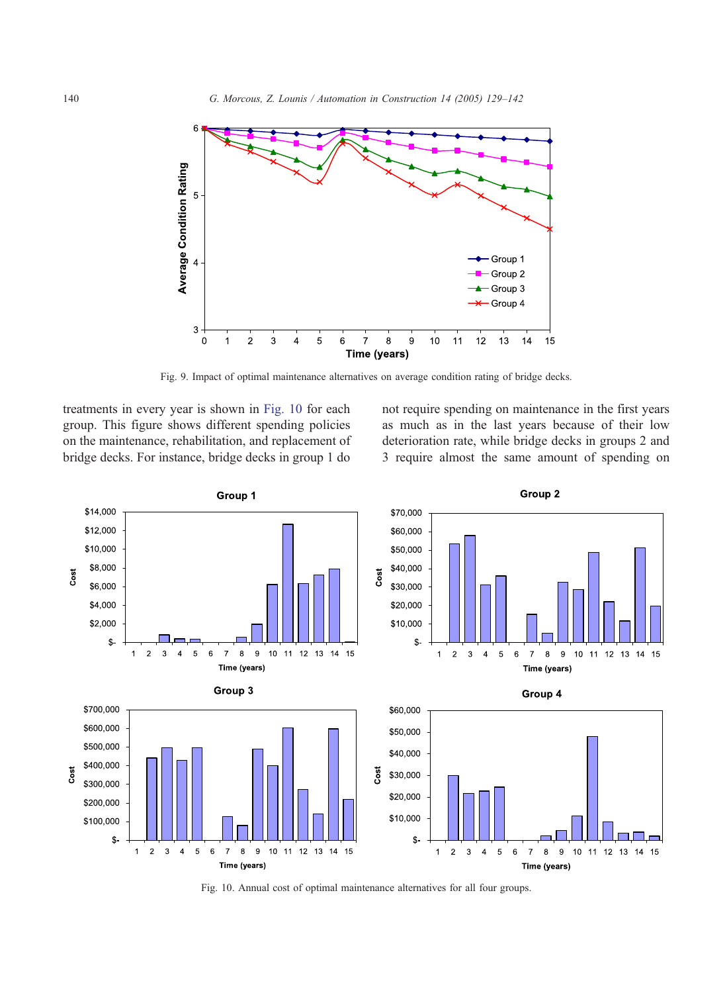<span id="page-11-0"></span>

Fig. 9. Impact of optimal maintenance alternatives on average condition rating of bridge decks.

treatments in every year is shown in Fig. 10 for each group. This figure shows different spending policies on the maintenance, rehabilitation, and replacement of bridge decks. For instance, bridge decks in group 1 do not require spending on maintenance in the first years as much as in the last years because of their low deterioration rate, while bridge decks in groups 2 and 3 require almost the same amount of spending on



Fig. 10. Annual cost of optimal maintenance alternatives for all four groups.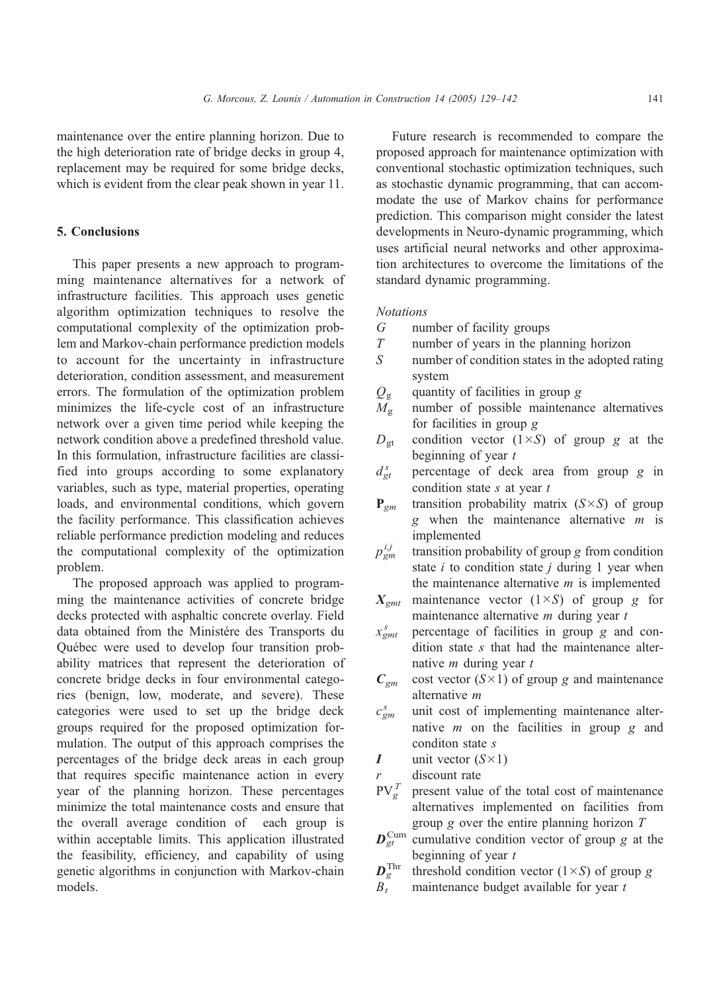maintenance over the entire planning horizon. Due to the high deterioration rate of bridge decks in group 4, replacement may be required for some bridge decks, which is evident from the clear peak shown in year 11.

### 5. Conclusions

This paper presents a new approach to programming maintenance alternatives for a network of infrastructure facilities. This approach uses genetic algorithm optimization techniques to resolve the computational complexity of the optimization problem and Markov-chain performance prediction models to account for the uncertainty in infrastructure deterioration, condition assessment, and measurement errors. The formulation of the optimization problem minimizes the life-cycle cost of an infrastructure network over a given time period while keeping the network condition above a predefined threshold value. In this formulation, infrastructure facilities are classified into groups according to some explanatory variables, such as type, material properties, operating loads, and environmental conditions, which govern the facility performance. This classification achieves reliable performance prediction modeling and reduces the computational complexity of the optimization problem.

The proposed approach was applied to programming the maintenance activities of concrete bridge decks protected with asphaltic concrete overlay. Field data obtained from the Ministére des Transports du Québec were used to develop four transition probability matrices that represent the deterioration of concrete bridge decks in four environmental categories (benign, low, moderate, and severe). These categories were used to set up the bridge deck groups required for the proposed optimization formulation. The output of this approach comprises the percentages of the bridge deck areas in each group that requires specific maintenance action in every year of the planning horizon. These percentages minimize the total maintenance costs and ensure that the overall average condition of each group is within acceptable limits. This application illustrated the feasibility, efficiency, and capability of using genetic algorithms in conjunction with Markov-chain models.

Future research is recommended to compare the proposed approach for maintenance optimization with conventional stochastic optimization techniques, such as stochastic dynamic programming, that can accommodate the use of Markov chains for performance prediction. This comparison might consider the latest developments in Neuro-dynamic programming, which uses artificial neural networks and other approximation architectures to overcome the limitations of the standard dynamic programming.

## Notations

- G number of facility groups
- T number of years in the planning horizon
- S number of condition states in the adopted rating system
- $Q_g$  quantity of facilities in group g
- $M_{\rm g}$  number of possible maintenance alternatives for facilities in group g
- $D_{gt}$  condition vector  $(1\times S)$  of group g at the beginning of year  $t$
- $d_{\text{gt}}^s$ percentage of deck area from group  $g$  in condition state  $s$  at year  $t$
- ${\bf P}_{\text{cm}}$  transition probability matrix (S $\times$ S) of group  $g$  when the maintenance alternative  $m$  is implemented
- $p_{gm}^{i,j}$ transition probability of group  $g$  from condition state  $i$  to condition state  $j$  during 1 year when the maintenance alternative  $m$  is implemented
- $X_{emt}$  maintenance vector (1×S) of group g for maintenance alternative  $m$  during year  $t$
- $x_{emt}^s$ percentage of facilities in group  $g$  and condition state s that had the maintenance alternative  $m$  during year  $t$
- $C_{\text{gm}}$  cost vector (S×1) of group g and maintenance alternative m
- $c_{\textit{om}}^{\textit{s}}$ unit cost of implementing maintenance alternative  $m$  on the facilities in group  $g$  and conditon state s
- I unit vector  $(S \times 1)$

 $r$  discount rate

- $P V_{\sigma}^T$ present value of the total cost of maintenance alternatives implemented on facilities from group  $g$  over the entire planning horizon  $T$
- $D_{gt}^{Cum}$  cumulative condition vector of group g at the beginning of year  $t$

 $\boldsymbol{D}_{g}^{\text{Thr}}$ threshold condition vector  $(1\times S)$  of group g

 $B_t$  maintenance budget available for year t